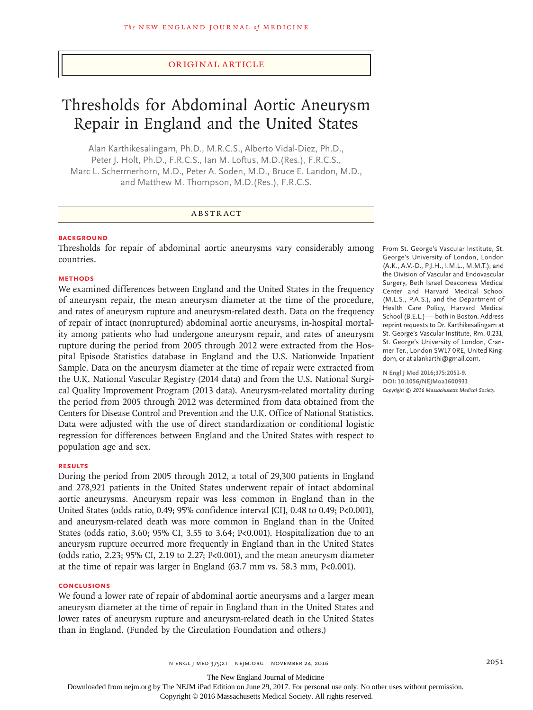## Original Article

# Thresholds for Abdominal Aortic Aneurysm Repair in England and the United States

Alan Karthikesalingam, Ph.D., M.R.C.S., Alberto Vidal-Diez, Ph.D., Peter J. Holt, Ph.D., F.R.C.S., Ian M. Loftus, M.D.(Res.), F.R.C.S., Marc L. Schermerhorn, M.D., Peter A. Soden, M.D., Bruce E. Landon, M.D., and Matthew M. Thompson, M.D.(Res.), F.R.C.S.

## ABSTRACT

## **BACKGROUND**

Thresholds for repair of abdominal aortic aneurysms vary considerably among countries.

#### **METHODS**

We examined differences between England and the United States in the frequency of aneurysm repair, the mean aneurysm diameter at the time of the procedure, and rates of aneurysm rupture and aneurysm-related death. Data on the frequency of repair of intact (nonruptured) abdominal aortic aneurysms, in-hospital mortality among patients who had undergone aneurysm repair, and rates of aneurysm rupture during the period from 2005 through 2012 were extracted from the Hospital Episode Statistics database in England and the U.S. Nationwide Inpatient Sample. Data on the aneurysm diameter at the time of repair were extracted from the U.K. National Vascular Registry (2014 data) and from the U.S. National Surgical Quality Improvement Program (2013 data). Aneurysm-related mortality during the period from 2005 through 2012 was determined from data obtained from the Centers for Disease Control and Prevention and the U.K. Office of National Statistics. Data were adjusted with the use of direct standardization or conditional logistic regression for differences between England and the United States with respect to population age and sex.

## **RESULTS**

During the period from 2005 through 2012, a total of 29,300 patients in England and 278,921 patients in the United States underwent repair of intact abdominal aortic aneurysms. Aneurysm repair was less common in England than in the United States (odds ratio, 0.49; 95% confidence interval [CI], 0.48 to 0.49; P<0.001), and aneurysm-related death was more common in England than in the United States (odds ratio, 3.60; 95% CI, 3.55 to 3.64; P<0.001). Hospitalization due to an aneurysm rupture occurred more frequently in England than in the United States (odds ratio, 2.23; 95% CI, 2.19 to 2.27; P<0.001), and the mean aneurysm diameter at the time of repair was larger in England (63.7 mm vs. 58.3 mm, P<0.001).

#### **CONCLUSIONS**

We found a lower rate of repair of abdominal aortic aneurysms and a larger mean aneurysm diameter at the time of repair in England than in the United States and lower rates of aneurysm rupture and aneurysm-related death in the United States than in England. (Funded by the Circulation Foundation and others.)

From St. George's Vascular Institute, St. George's University of London, London (A.K., A.V.-D., P.J.H., I.M.L., M.M.T.); and the Division of Vascular and Endovascular Surgery, Beth Israel Deaconess Medical Center and Harvard Medical School (M.L.S., P.A.S.), and the Department of Health Care Policy, Harvard Medical School (B.E.L.) — both in Boston. Address reprint requests to Dr. Karthikesalingam at St. George's Vascular Institute, Rm. 0.231, St. George's University of London, Cranmer Ter., London SW17 0RE, United Kingdom, or at alankarthi@gmail.com.

**N Engl J Med 2016;375:2051-9. DOI: 10.1056/NEJMoa1600931** *Copyright © 2016 Massachusetts Medical Society.*

The New England Journal of Medicine

Downloaded from nejm.org by The NEJM iPad Edition on June 29, 2017. For personal use only. No other uses without permission.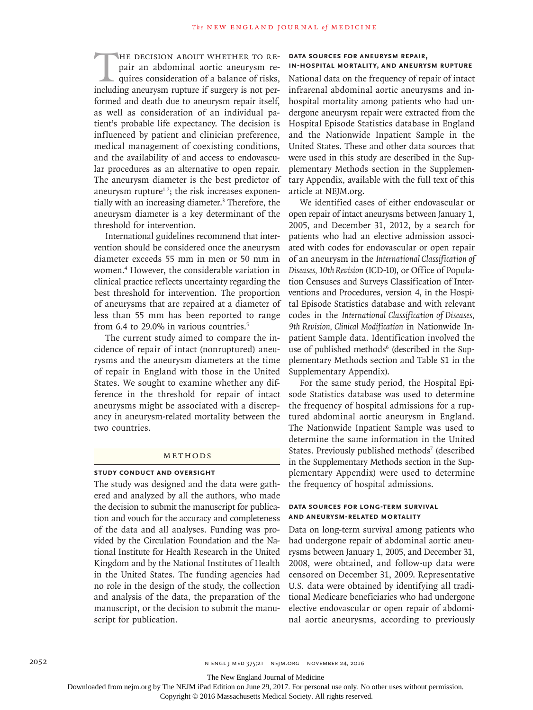THE DECISION ABOUT WHETHER TO RE-<br>pair an abdominal aortic aneurysm re-<br>quires consideration of a balance of risks,<br>including aneurysm rupture if surgery is not perpair an abdominal aortic aneurysm requires consideration of a balance of risks, formed and death due to aneurysm repair itself, as well as consideration of an individual patient's probable life expectancy. The decision is influenced by patient and clinician preference, medical management of coexisting conditions, and the availability of and access to endovascular procedures as an alternative to open repair. The aneurysm diameter is the best predictor of aneurysm rupture $1,2$ ; the risk increases exponentially with an increasing diameter.<sup>3</sup> Therefore, the aneurysm diameter is a key determinant of the threshold for intervention.

International guidelines recommend that intervention should be considered once the aneurysm diameter exceeds 55 mm in men or 50 mm in women.4 However, the considerable variation in clinical practice reflects uncertainty regarding the best threshold for intervention. The proportion of aneurysms that are repaired at a diameter of less than 55 mm has been reported to range from 6.4 to 29.0% in various countries.<sup>5</sup>

The current study aimed to compare the incidence of repair of intact (nonruptured) aneurysms and the aneurysm diameters at the time of repair in England with those in the United States. We sought to examine whether any difference in the threshold for repair of intact aneurysms might be associated with a discrepancy in aneurysm-related mortality between the two countries.

# Methods

#### **Study Conduct and Oversight**

The study was designed and the data were gathered and analyzed by all the authors, who made the decision to submit the manuscript for publication and vouch for the accuracy and completeness of the data and all analyses. Funding was provided by the Circulation Foundation and the National Institute for Health Research in the United Kingdom and by the National Institutes of Health in the United States. The funding agencies had no role in the design of the study, the collection and analysis of the data, the preparation of the manuscript, or the decision to submit the manuscript for publication.

#### **Data Sources for Aneurysm Repair,**

## **In-Hospital Mortality, and Aneurysm Rupture**

National data on the frequency of repair of intact infrarenal abdominal aortic aneurysms and inhospital mortality among patients who had undergone aneurysm repair were extracted from the Hospital Episode Statistics database in England and the Nationwide Inpatient Sample in the United States. These and other data sources that were used in this study are described in the Supplementary Methods section in the Supplementary Appendix, available with the full text of this article at NEJM.org.

We identified cases of either endovascular or open repair of intact aneurysms between January 1, 2005, and December 31, 2012, by a search for patients who had an elective admission associated with codes for endovascular or open repair of an aneurysm in the *International Classification of Diseases, 10th Revision* (ICD-10), or Office of Population Censuses and Surveys Classification of Interventions and Procedures, version 4, in the Hospital Episode Statistics database and with relevant codes in the *International Classification of Diseases, 9th Revision, Clinical Modification* in Nationwide Inpatient Sample data. Identification involved the use of published methods<sup>6</sup> (described in the Supplementary Methods section and Table S1 in the Supplementary Appendix).

For the same study period, the Hospital Episode Statistics database was used to determine the frequency of hospital admissions for a ruptured abdominal aortic aneurysm in England. The Nationwide Inpatient Sample was used to determine the same information in the United States. Previously published methods<sup>7</sup> (described in the Supplementary Methods section in the Supplementary Appendix) were used to determine the frequency of hospital admissions.

## **Data Sources for Long-Term Survival and Aneurysm-Related Mortality**

Data on long-term survival among patients who had undergone repair of abdominal aortic aneurysms between January 1, 2005, and December 31, 2008, were obtained, and follow-up data were censored on December 31, 2009. Representative U.S. data were obtained by identifying all traditional Medicare beneficiaries who had undergone elective endovascular or open repair of abdominal aortic aneurysms, according to previously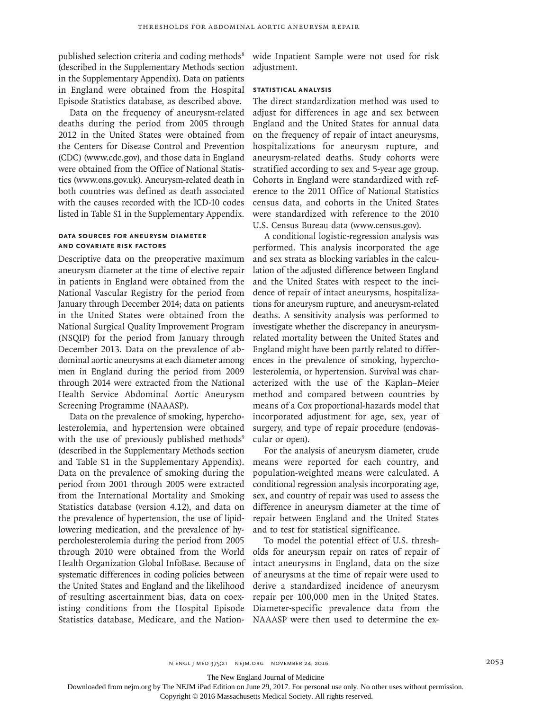published selection criteria and coding methods<sup>8</sup> (described in the Supplementary Methods section in the Supplementary Appendix). Data on patients in England were obtained from the Hospital Episode Statistics database, as described above.

Data on the frequency of aneurysm-related deaths during the period from 2005 through 2012 in the United States were obtained from the Centers for Disease Control and Prevention (CDC) (www.cdc.gov), and those data in England were obtained from the Office of National Statistics (www.ons.gov.uk). Aneurysm-related death in both countries was defined as death associated with the causes recorded with the ICD-10 codes listed in Table S1 in the Supplementary Appendix.

## **Data Sources for Aneurysm Diameter and Covariate Risk Factors**

Descriptive data on the preoperative maximum aneurysm diameter at the time of elective repair in patients in England were obtained from the National Vascular Registry for the period from January through December 2014; data on patients in the United States were obtained from the National Surgical Quality Improvement Program (NSQIP) for the period from January through December 2013. Data on the prevalence of abdominal aortic aneurysms at each diameter among men in England during the period from 2009 through 2014 were extracted from the National Health Service Abdominal Aortic Aneurysm Screening Programme (NAAASP).

Data on the prevalence of smoking, hypercholesterolemia, and hypertension were obtained with the use of previously published methods<sup>9</sup> (described in the Supplementary Methods section and Table S1 in the Supplementary Appendix). Data on the prevalence of smoking during the period from 2001 through 2005 were extracted from the International Mortality and Smoking Statistics database (version 4.12), and data on the prevalence of hypertension, the use of lipidlowering medication, and the prevalence of hypercholesterolemia during the period from 2005 through 2010 were obtained from the World Health Organization Global InfoBase. Because of systematic differences in coding policies between the United States and England and the likelihood of resulting ascertainment bias, data on coexisting conditions from the Hospital Episode Statistics database, Medicare, and the Nationwide Inpatient Sample were not used for risk adiustment.

#### **Statistical Analysis**

The direct standardization method was used to adjust for differences in age and sex between England and the United States for annual data on the frequency of repair of intact aneurysms, hospitalizations for aneurysm rupture, and aneurysm-related deaths. Study cohorts were stratified according to sex and 5-year age group. Cohorts in England were standardized with reference to the 2011 Office of National Statistics census data, and cohorts in the United States were standardized with reference to the 2010 U.S. Census Bureau data (www.census.gov).

A conditional logistic-regression analysis was performed. This analysis incorporated the age and sex strata as blocking variables in the calculation of the adjusted difference between England and the United States with respect to the incidence of repair of intact aneurysms, hospitalizations for aneurysm rupture, and aneurysm-related deaths. A sensitivity analysis was performed to investigate whether the discrepancy in aneurysmrelated mortality between the United States and England might have been partly related to differences in the prevalence of smoking, hypercholesterolemia, or hypertension. Survival was characterized with the use of the Kaplan–Meier method and compared between countries by means of a Cox proportional-hazards model that incorporated adjustment for age, sex, year of surgery, and type of repair procedure (endovascular or open).

For the analysis of aneurysm diameter, crude means were reported for each country, and population-weighted means were calculated. A conditional regression analysis incorporating age, sex, and country of repair was used to assess the difference in aneurysm diameter at the time of repair between England and the United States and to test for statistical significance.

To model the potential effect of U.S. thresholds for aneurysm repair on rates of repair of intact aneurysms in England, data on the size of aneurysms at the time of repair were used to derive a standardized incidence of aneurysm repair per 100,000 men in the United States. Diameter-specific prevalence data from the NAAASP were then used to determine the ex-

The New England Journal of Medicine

Downloaded from nejm.org by The NEJM iPad Edition on June 29, 2017. For personal use only. No other uses without permission.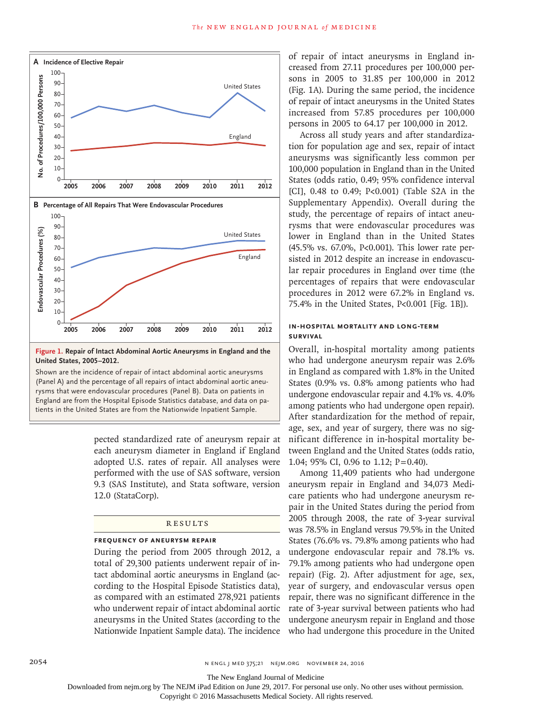

**Figure 1. Repair of Intact Abdominal Aortic Aneurysms in England and the United States, 2005–2012.**

Shown are the incidence of repair of intact abdominal aortic aneurysms (Panel A) and the percentage of all repairs of intact abdominal aortic aneurysms that were endovascular procedures (Panel B). Data on patients in England are from the Hospital Episode Statistics database, and data on pa-

> pected standardized rate of aneurysm repair at each aneurysm diameter in England if England adopted U.S. rates of repair. All analyses were performed with the use of SAS software, version 9.3 (SAS Institute), and Stata software, version 12.0 (StataCorp).

## **RESULTS**

#### **Frequency of Aneurysm Repair**

During the period from 2005 through 2012, a total of 29,300 patients underwent repair of intact abdominal aortic aneurysms in England (according to the Hospital Episode Statistics data), as compared with an estimated 278,921 patients who underwent repair of intact abdominal aortic aneurysms in the United States (according to the Nationwide Inpatient Sample data). The incidence of repair of intact aneurysms in England increased from 27.11 procedures per 100,000 persons in 2005 to 31.85 per 100,000 in 2012 (Fig. 1A). During the same period, the incidence of repair of intact aneurysms in the United States increased from 57.85 procedures per 100,000 persons in 2005 to 64.17 per 100,000 in 2012.

Across all study years and after standardization for population age and sex, repair of intact aneurysms was significantly less common per 100,000 population in England than in the United States (odds ratio, 0.49; 95% confidence interval [CI], 0.48 to 0.49; P<0.001) (Table S2A in the Supplementary Appendix). Overall during the study, the percentage of repairs of intact aneurysms that were endovascular procedures was lower in England than in the United States (45.5% vs. 67.0%, P<0.001). This lower rate persisted in 2012 despite an increase in endovascular repair procedures in England over time (the percentages of repairs that were endovascular procedures in 2012 were 67.2% in England vs. 75.4% in the United States, P<0.001 [Fig. 1B]).

## **In-Hospital Mortality and Long-Term Survival**

Overall, in-hospital mortality among patients who had undergone aneurysm repair was 2.6% in England as compared with 1.8% in the United States (0.9% vs. 0.8% among patients who had undergone endovascular repair and 4.1% vs. 4.0% among patients who had undergone open repair). After standardization for the method of repair, age, sex, and year of surgery, there was no significant difference in in-hospital mortality between England and the United States (odds ratio, 1.04; 95% CI, 0.96 to 1.12; P=0.40).

Among 11,409 patients who had undergone aneurysm repair in England and 34,073 Medicare patients who had undergone aneurysm repair in the United States during the period from 2005 through 2008, the rate of 3-year survival was 78.5% in England versus 79.5% in the United States (76.6% vs. 79.8% among patients who had undergone endovascular repair and 78.1% vs. 79.1% among patients who had undergone open repair) (Fig. 2). After adjustment for age, sex, year of surgery, and endovascular versus open repair, there was no significant difference in the rate of 3-year survival between patients who had undergone aneurysm repair in England and those who had undergone this procedure in the United

The New England Journal of Medicine

Downloaded from nejm.org by The NEJM iPad Edition on June 29, 2017. For personal use only. No other uses without permission.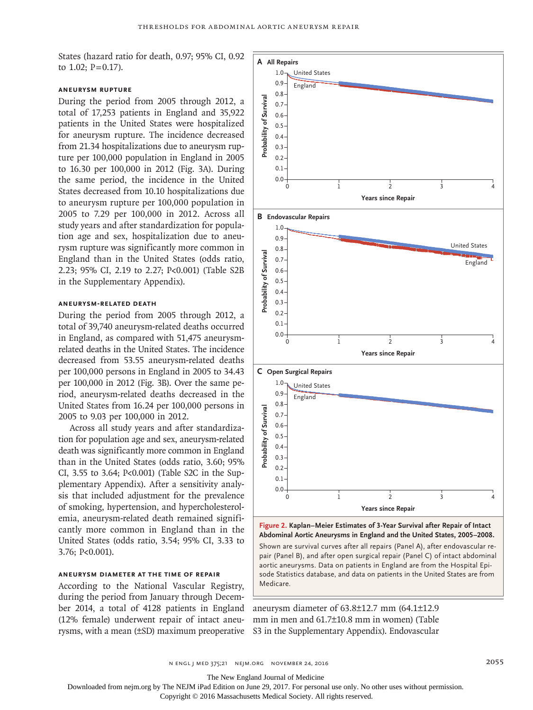States (hazard ratio for death, 0.97; 95% CI, 0.92 to  $1.02$ ;  $P = 0.17$ ).

## **Aneurysm Rupture**

During the period from 2005 through 2012, a total of 17,253 patients in England and 35,922 patients in the United States were hospitalized for aneurysm rupture. The incidence decreased from 21.34 hospitalizations due to aneurysm rupture per 100,000 population in England in 2005 to 16.30 per 100,000 in 2012 (Fig. 3A). During the same period, the incidence in the United States decreased from 10.10 hospitalizations due to aneurysm rupture per 100,000 population in 2005 to 7.29 per 100,000 in 2012. Across all study years and after standardization for population age and sex, hospitalization due to aneurysm rupture was significantly more common in England than in the United States (odds ratio, 2.23; 95% CI, 2.19 to 2.27; P<0.001) (Table S2B in the Supplementary Appendix).

# **Aneurysm-Related Death**

During the period from 2005 through 2012, a total of 39,740 aneurysm-related deaths occurred in England, as compared with 51,475 aneurysmrelated deaths in the United States. The incidence decreased from 53.55 aneurysm-related deaths per 100,000 persons in England in 2005 to 34.43 per 100,000 in 2012 (Fig. 3B). Over the same period, aneurysm-related deaths decreased in the United States from 16.24 per 100,000 persons in 2005 to 9.03 per 100,000 in 2012.

Across all study years and after standardization for population age and sex, aneurysm-related death was significantly more common in England than in the United States (odds ratio, 3.60; 95% CI, 3.55 to 3.64; P<0.001) (Table S2C in the Supplementary Appendix). After a sensitivity analysis that included adjustment for the prevalence of smoking, hypertension, and hypercholesterolemia, aneurysm-related death remained significantly more common in England than in the United States (odds ratio, 3.54; 95% CI, 3.33 to 3.76; P<0.001).

## **Aneurysm Diameter at the Time of Repair**

According to the National Vascular Registry, during the period from January through December 2014, a total of 4128 patients in England (12% female) underwent repair of intact aneurysms, with a mean (±SD) maximum preoperative



**Abdominal Aortic Aneurysms in England and the United States, 2005–2008.** Shown are survival curves after all repairs (Panel A), after endovascular repair (Panel B), and after open surgical repair (Panel C) of intact abdominal aortic aneurysms. Data on patients in England are from the Hospital Episode Statistics database, and data on patients in the United States are from Medicare

aneurysm diameter of 63.8±12.7 mm (64.1±12.9 mm in men and 61.7±10.8 mm in women) (Table S3 in the Supplementary Appendix). Endovascular

The New England Journal of Medicine

Downloaded from nejm.org by The NEJM iPad Edition on June 29, 2017. For personal use only. No other uses without permission.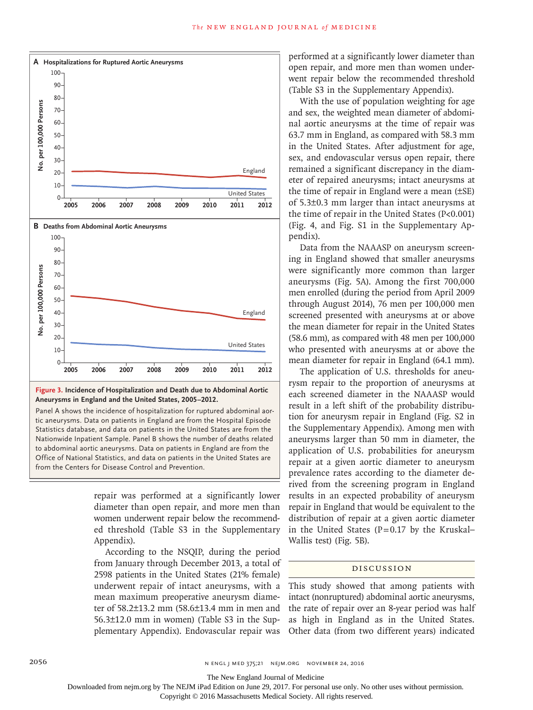

**Figure 3. Incidence of Hospitalization and Death due to Abdominal Aortic Aneurysms in England and the United States, 2005–2012.**

Panel A shows the incidence of hospitalization for ruptured abdominal aortic aneurysms. Data on patients in England are from the Hospital Episode Statistics database, and data on patients in the United States are from the Nationwide Inpatient Sample. Panel B shows the number of deaths related to abdominal aortic aneurysms. Data on patients in England are from the Office of National Statistics, and data on patients in the United States are

> repair was performed at a significantly lower diameter than open repair, and more men than women underwent repair below the recommended threshold (Table S3 in the Supplementary Appendix).

> According to the NSQIP, during the period from January through December 2013, a total of 2598 patients in the United States (21% female) underwent repair of intact aneurysms, with a mean maximum preoperative aneurysm diameter of 58.2±13.2 mm (58.6±13.4 mm in men and 56.3±12.0 mm in women) (Table S3 in the Supplementary Appendix). Endovascular repair was

performed at a significantly lower diameter than open repair, and more men than women underwent repair below the recommended threshold (Table S3 in the Supplementary Appendix).

With the use of population weighting for age and sex, the weighted mean diameter of abdominal aortic aneurysms at the time of repair was 63.7 mm in England, as compared with 58.3 mm in the United States. After adjustment for age, sex, and endovascular versus open repair, there remained a significant discrepancy in the diameter of repaired aneurysms; intact aneurysms at the time of repair in England were a mean (±SE) of 5.3±0.3 mm larger than intact aneurysms at the time of repair in the United States (P<0.001) (Fig. 4, and Fig. S1 in the Supplementary Appendix).

Data from the NAAASP on aneurysm screening in England showed that smaller aneurysms were significantly more common than larger aneurysms (Fig. 5A). Among the first 700,000 men enrolled (during the period from April 2009 through August 2014), 76 men per 100,000 men screened presented with aneurysms at or above the mean diameter for repair in the United States (58.6 mm), as compared with 48 men per 100,000 who presented with aneurysms at or above the mean diameter for repair in England (64.1 mm).

The application of U.S. thresholds for aneurysm repair to the proportion of aneurysms at each screened diameter in the NAAASP would result in a left shift of the probability distribution for aneurysm repair in England (Fig. S2 in the Supplementary Appendix). Among men with aneurysms larger than 50 mm in diameter, the application of U.S. probabilities for aneurysm repair at a given aortic diameter to aneurysm prevalence rates according to the diameter derived from the screening program in England results in an expected probability of aneurysm repair in England that would be equivalent to the distribution of repair at a given aortic diameter in the United States ( $P=0.17$  by the Kruskal– Wallis test) (Fig. 5B).

#### Discussion

This study showed that among patients with intact (nonruptured) abdominal aortic aneurysms, the rate of repair over an 8-year period was half as high in England as in the United States. Other data (from two different years) indicated

The New England Journal of Medicine

Downloaded from nejm.org by The NEJM iPad Edition on June 29, 2017. For personal use only. No other uses without permission.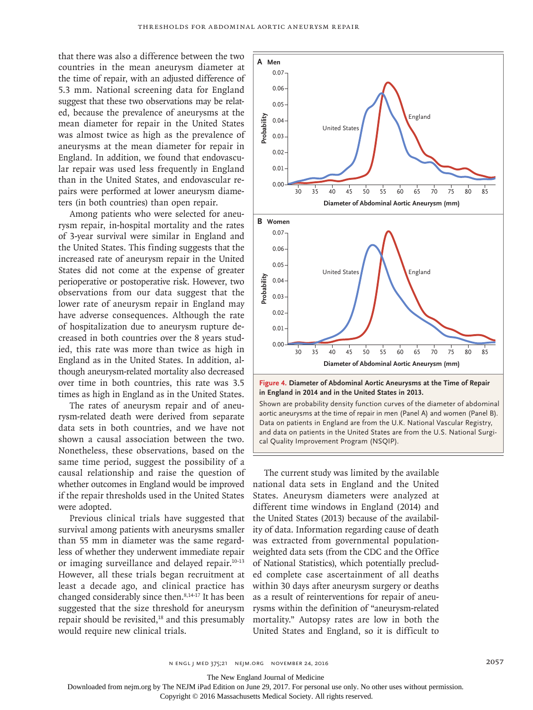that there was also a difference between the two countries in the mean aneurysm diameter at the time of repair, with an adjusted difference of 5.3 mm. National screening data for England suggest that these two observations may be related, because the prevalence of aneurysms at the mean diameter for repair in the United States was almost twice as high as the prevalence of aneurysms at the mean diameter for repair in England. In addition, we found that endovascular repair was used less frequently in England than in the United States, and endovascular repairs were performed at lower aneurysm diameters (in both countries) than open repair.

Among patients who were selected for aneurysm repair, in-hospital mortality and the rates of 3-year survival were similar in England and the United States. This finding suggests that the increased rate of aneurysm repair in the United States did not come at the expense of greater perioperative or postoperative risk. However, two observations from our data suggest that the lower rate of aneurysm repair in England may have adverse consequences. Although the rate of hospitalization due to aneurysm rupture decreased in both countries over the 8 years studied, this rate was more than twice as high in England as in the United States. In addition, although aneurysm-related mortality also decreased over time in both countries, this rate was 3.5 times as high in England as in the United States.

The rates of aneurysm repair and of aneurysm-related death were derived from separate data sets in both countries, and we have not shown a causal association between the two. Nonetheless, these observations, based on the same time period, suggest the possibility of a causal relationship and raise the question of whether outcomes in England would be improved if the repair thresholds used in the United States were adopted.

Previous clinical trials have suggested that survival among patients with aneurysms smaller than 55 mm in diameter was the same regardless of whether they underwent immediate repair or imaging surveillance and delayed repair.10-13 However, all these trials began recruitment at least a decade ago, and clinical practice has changed considerably since then.<sup>8,14-17</sup> It has been suggested that the size threshold for aneurysm repair should be revisited,<sup>18</sup> and this presumably would require new clinical trials.



Shown are probability density function curves of the diameter of abdominal aortic aneurysms at the time of repair in men (Panel A) and women (Panel B). Data on patients in England are from the U.K. National Vascular Registry, and data on patients in the United States are from the U.S. National Surgi-

The current study was limited by the available national data sets in England and the United States. Aneurysm diameters were analyzed at different time windows in England (2014) and the United States (2013) because of the availability of data. Information regarding cause of death was extracted from governmental populationweighted data sets (from the CDC and the Office of National Statistics), which potentially precluded complete case ascertainment of all deaths within 30 days after aneurysm surgery or deaths as a result of reinterventions for repair of aneurysms within the definition of "aneurysm-related mortality." Autopsy rates are low in both the United States and England, so it is difficult to

The New England Journal of Medicine

Downloaded from nejm.org by The NEJM iPad Edition on June 29, 2017. For personal use only. No other uses without permission.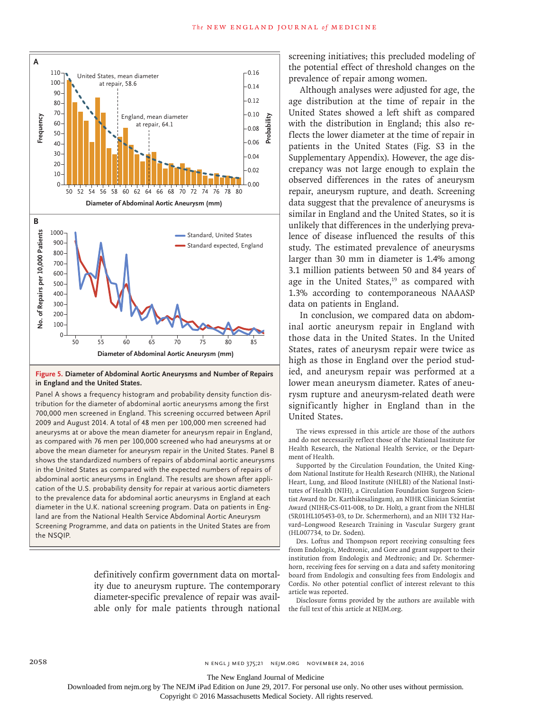

## **Figure 5. Diameter of Abdominal Aortic Aneurysms and Number of Repairs in England and the United States.**

Panel A shows a frequency histogram and probability density function distribution for the diameter of abdominal aortic aneurysms among the first 700,000 men screened in England. This screening occurred between April 2009 and August 2014. A total of 48 men per 100,000 men screened had aneurysms at or above the mean diameter for aneurysm repair in England, as compared with 76 men per 100,000 screened who had aneurysms at or above the mean diameter for aneurysm repair in the United States. Panel B shows the standardized numbers of repairs of abdominal aortic aneurysms in the United States as compared with the expected numbers of repairs of abdominal aortic aneurysms in England. The results are shown after application of the U.S. probability density for repair at various aortic diameters to the prevalence data for abdominal aortic aneurysms in England at each diameter in the U.K. national screening program. Data on patients in England are from the National Health Service Abdominal Aortic Aneurysm Screening Programme, and data on patients in the United States are from the NSQIP.

> definitively confirm government data on mortality due to aneurysm rupture. The contemporary diameter-specific prevalence of repair was available only for male patients through national

screening initiatives; this precluded modeling of the potential effect of threshold changes on the prevalence of repair among women.

Although analyses were adjusted for age, the age distribution at the time of repair in the United States showed a left shift as compared with the distribution in England; this also reflects the lower diameter at the time of repair in patients in the United States (Fig. S3 in the Supplementary Appendix). However, the age discrepancy was not large enough to explain the observed differences in the rates of aneurysm repair, aneurysm rupture, and death. Screening data suggest that the prevalence of aneurysms is similar in England and the United States, so it is unlikely that differences in the underlying prevalence of disease influenced the results of this study. The estimated prevalence of aneurysms larger than 30 mm in diameter is 1.4% among 3.1 million patients between 50 and 84 years of age in the United States, $19$  as compared with 1.3% according to contemporaneous NAAASP data on patients in England.

In conclusion, we compared data on abdominal aortic aneurysm repair in England with those data in the United States. In the United States, rates of aneurysm repair were twice as high as those in England over the period studied, and aneurysm repair was performed at a lower mean aneurysm diameter. Rates of aneurysm rupture and aneurysm-related death were significantly higher in England than in the United States.

The views expressed in this article are those of the authors and do not necessarily reflect those of the National Institute for Health Research, the National Health Service, or the Department of Health.

Supported by the Circulation Foundation, the United Kingdom National Institute for Health Research (NIHR), the National Heart, Lung, and Blood Institute (NHLBI) of the National Institutes of Health (NIH), a Circulation Foundation Surgeon Scientist Award (to Dr. Karthikesalingam), an NIHR Clinician Scientist Award (NIHR-CS-011-008, to Dr. Holt), a grant from the NHLBI (5R01HL105453-03, to Dr. Schermerhorn), and an NIH T32 Harvard–Longwood Research Training in Vascular Surgery grant (HL007734, to Dr. Soden).

Drs. Loftus and Thompson report receiving consulting fees from Endologix, Medtronic, and Gore and grant support to their institution from Endologix and Medtronic; and Dr. Schermerhorn, receiving fees for serving on a data and safety monitoring board from Endologix and consulting fees from Endologix and Cordis. No other potential conflict of interest relevant to this article was reported.

Disclosure forms provided by the authors are available with the full text of this article at NEJM.org.

The New England Journal of Medicine

Downloaded from nejm.org by The NEJM iPad Edition on June 29, 2017. For personal use only. No other uses without permission.